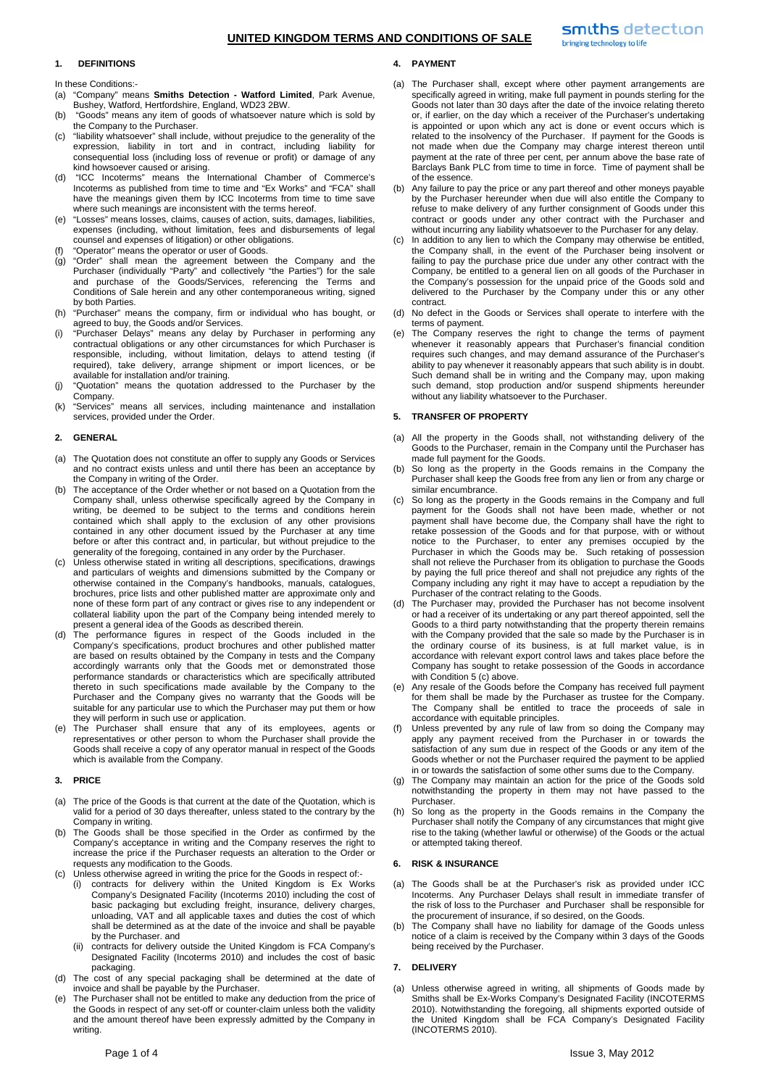# **UNITED KINGDOM TERMS AND CONDITIONS OF SALE**

### **1. DEFINITIONS**

In these Conditions:-

- (a) "Company" means **Smiths Detection Watford Limited**, Park Avenue, Bushey, Watford, Hertfordshire, England, WD23 2BW.
- (b) "Goods" means any item of goods of whatsoever nature which is sold by the Company to the Purchaser.
- (c) "liability whatsoever" shall include, without prejudice to the generality of the expression, liability in tort and in contract, including liability for consequential loss (including loss of revenue or profit) or damage of any kind howsoever caused or arising.
- (d) "ICC Incoterms" means the International Chamber of Commerce's Incoterms as published from time to time and "Ex Works" and "FCA" shall have the meanings given them by ICC Incoterms from time to time save where such meanings are inconsistent with the terms hereof.
- (e) "Losses" means losses, claims, causes of action, suits, damages, liabilities, expenses (including, without limitation, fees and disbursements of legal counsel and expenses of litigation) or other obligations.
- "Operator" means the operator or user of Goods.
- (g) "Order" shall mean the agreement between the Company and the Purchaser (individually "Party" and collectively "the Parties") for the sale and purchase of the Goods/Services, referencing the Terms and Conditions of Sale herein and any other contemporaneous writing, signed by both Parties.
- (h) "Purchaser" means the company, firm or individual who has bought, or agreed to buy, the Goods and/or Services.
- (i) "Purchaser Delays" means any delay by Purchaser in performing any contractual obligations or any other circumstances for which Purchaser is responsible, including, without limitation, delays to attend testing (if required), take delivery, arrange shipment or import licences, or be available for installation and/or training.
- (j) "Quotation" means the quotation addressed to the Purchaser by the Company.
- (k) "Services" means all services, including maintenance and installation services, provided under the Order.

### **2. GENERAL**

- (a) The Quotation does not constitute an offer to supply any Goods or Services and no contract exists unless and until there has been an acceptance by the Company in writing of the Order.
- (b) The acceptance of the Order whether or not based on a Quotation from the Company shall, unless otherwise specifically agreed by the Company in writing, be deemed to be subject to the terms and conditions herein contained which shall apply to the exclusion of any other provisions contained in any other document issued by the Purchaser at any time before or after this contract and, in particular, but without prejudice to the generality of the foregoing, contained in any order by the Purchaser.
- (c) Unless otherwise stated in writing all descriptions, specifications, drawings and particulars of weights and dimensions submitted by the Company or otherwise contained in the Company's handbooks, manuals, catalogues, brochures, price lists and other published matter are approximate only and none of these form part of any contract or gives rise to any independent or collateral liability upon the part of the Company being intended merely to present a general idea of the Goods as described therein.
- (d) The performance figures in respect of the Goods included in the Company's specifications, product brochures and other published matter are based on results obtained by the Company in tests and the Company accordingly warrants only that the Goods met or demonstrated those performance standards or characteristics which are specifically attributed thereto in such specifications made available by the Company to the Purchaser and the Company gives no warranty that the Goods will be suitable for any particular use to which the Purchaser may put them or how they will perform in such use or application.
- (e) The Purchaser shall ensure that any of its employees, agents or representatives or other person to whom the Purchaser shall provide the Goods shall receive a copy of any operator manual in respect of the Goods which is available from the Company.

#### **3. PRICE**

- (a) The price of the Goods is that current at the date of the Quotation, which is valid for a period of 30 days thereafter, unless stated to the contrary by the Company in writing.
- (b) The Goods shall be those specified in the Order as confirmed by the Company's acceptance in writing and the Company reserves the right to increase the price if the Purchaser requests an alteration to the Order or requests any modification to the Goods.
- (c) Unless otherwise agreed in writing the price for the Goods in respect of:-
	- (i) contracts for delivery within the United Kingdom is Ex Works Company's Designated Facility (Incoterms 2010) including the cost of basic packaging but excluding freight, insurance, delivery charges, unloading, VAT and all applicable taxes and duties the cost of which shall be determined as at the date of the invoice and shall be payable by the Purchaser. and
	- (ii) contracts for delivery outside the United Kingdom is FCA Company's Designated Facility (Incoterms 2010) and includes the cost of basic packaging.
- (d) The cost of any special packaging shall be determined at the date of invoice and shall be payable by the Purchaser.
- (e) The Purchaser shall not be entitled to make any deduction from the price of the Goods in respect of any set-off or counter-claim unless both the validity and the amount thereof have been expressly admitted by the Company in writing.

# **4. PAYMENT**

- (a) The Purchaser shall, except where other payment arrangements are specifically agreed in writing, make full payment in pounds sterling for the Goods not later than 30 days after the date of the invoice relating thereto or, if earlier, on the day which a receiver of the Purchaser's undertaking is appointed or upon which any act is done or event occurs which is related to the insolvency of the Purchaser. If payment for the Goods is not made when due the Company may charge interest thereon until payment at the rate of three per cent, per annum above the base rate of Barclays Bank PLC from time to time in force. Time of payment shall be of the essence.
- (b) Any failure to pay the price or any part thereof and other moneys payable by the Purchaser hereunder when due will also entitle the Company to refuse to make delivery of any further consignment of Goods under this contract or goods under any other contract with the Purchaser and without incurring any liability whatsoever to the Purchaser for any delay.
- (c) In addition to any lien to which the Company may otherwise be entitled, the Company shall, in the event of the Purchaser being insolvent or failing to pay the purchase price due under any other contract with the Company, be entitled to a general lien on all goods of the Purchaser in the Company's possession for the unpaid price of the Goods sold and delivered to the Purchaser by the Company under this or any other contract.
- (d) No defect in the Goods or Services shall operate to interfere with the terms of payment.
- (e) The Company reserves the right to change the terms of payment whenever it reasonably appears that Purchaser's financial condition requires such changes, and may demand assurance of the Purchaser's ability to pay whenever it reasonably appears that such ability is in doubt. Such demand shall be in writing and the Company may, upon making such demand, stop production and/or suspend shipments hereunder without any liability whatsoever to the Purchaser.

## **5. TRANSFER OF PROPERTY**

- (a) All the property in the Goods shall, not withstanding delivery of the Goods to the Purchaser, remain in the Company until the Purchaser has made full payment for the Goods.
- (b) So long as the property in the Goods remains in the Company the Purchaser shall keep the Goods free from any lien or from any charge or similar encumbrance.
- (c) So long as the property in the Goods remains in the Company and full payment for the Goods shall not have been made, whether or not payment shall have become due, the Company shall have the right to retake possession of the Goods and for that purpose, with or without notice to the Purchaser, to enter any premises occupied by the Purchaser in which the Goods may be. Such retaking of possession shall not relieve the Purchaser from its obligation to purchase the Goods by paying the full price thereof and shall not prejudice any rights of the Company including any right it may have to accept a repudiation by the Purchaser of the contract relating to the Goods.
- The Purchaser may, provided the Purchaser has not become insolvent or had a receiver of its undertaking or any part thereof appointed, sell the Goods to a third party notwithstanding that the property therein remains with the Company provided that the sale so made by the Purchaser is in the ordinary course of its business, is at full market value, is in accordance with relevant export control laws and takes place before the Company has sought to retake possession of the Goods in accordance with Condition 5 (c) above.
- Any resale of the Goods before the Company has received full payment for them shall be made by the Purchaser as trustee for the Company. The Company shall be entitled to trace the proceeds of sale in accordance with equitable principles.
- (f) Unless prevented by any rule of law from so doing the Company may apply any payment received from the Purchaser in or towards the satisfaction of any sum due in respect of the Goods or any item of the Goods whether or not the Purchaser required the payment to be applied in or towards the satisfaction of some other sums due to the Company.
- (g) The Company may maintain an action for the price of the Goods sold notwithstanding the property in them may not have passed to the Purchaser.
- (h) So long as the property in the Goods remains in the Company the Purchaser shall notify the Company of any circumstances that might give rise to the taking (whether lawful or otherwise) of the Goods or the actual or attempted taking thereof.

#### **6. RISK & INSURANCE**

- (a) The Goods shall be at the Purchaser's risk as provided under ICC Incoterms. Any Purchaser Delays shall result in immediate transfer of the risk of loss to the Purchaser and Purchaser shall be responsible for the procurement of insurance, if so desired, on the Goods.
- The Company shall have no liability for damage of the Goods unless notice of a claim is received by the Company within 3 days of the Goods being received by the Purchaser.

# **7. DELIVERY**

(a) Unless otherwise agreed in writing, all shipments of Goods made by Smiths shall be Ex-Works Company's Designated Facility (INCOTERMS 2010). Notwithstanding the foregoing, all shipments exported outside of the United Kingdom shall be FCA Company's Designated Facility (INCOTERMS 2010).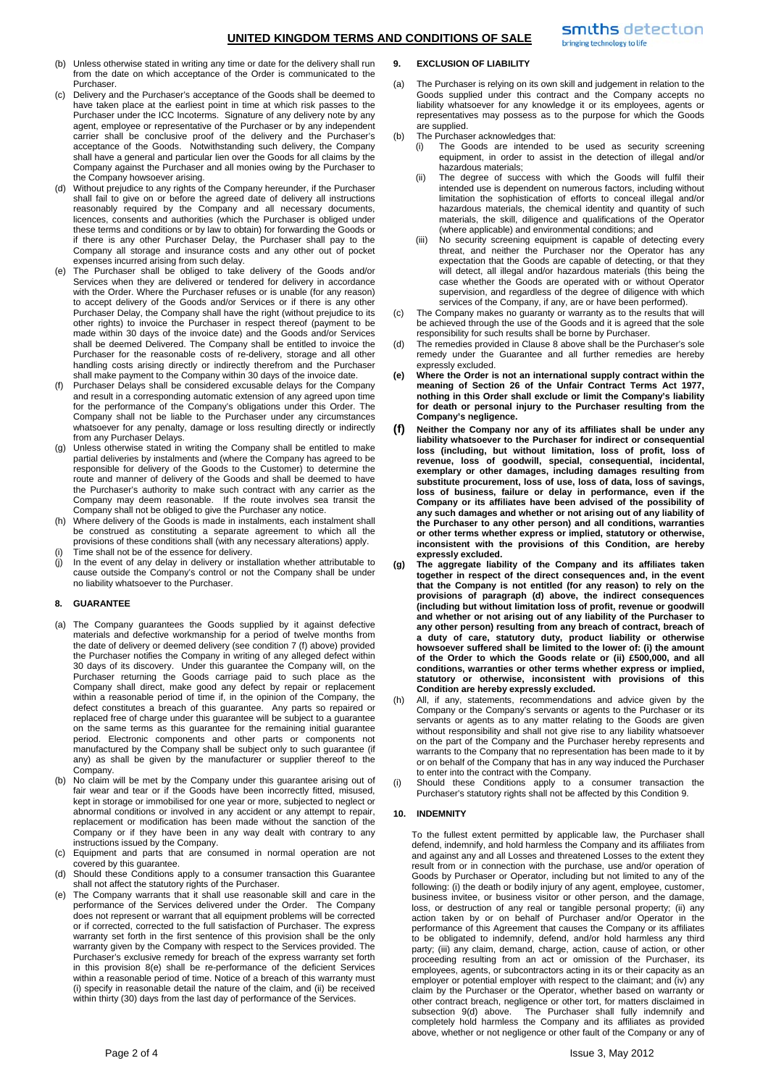# **UNITED KINGDOM TERMS AND CONDITIONS OF SALE**

- (b) Unless otherwise stated in writing any time or date for the delivery shall run from the date on which acceptance of the Order is communicated to the **Purchaser**
- (c) Delivery and the Purchaser's acceptance of the Goods shall be deemed to have taken place at the earliest point in time at which risk passes to the Purchaser under the ICC Incoterms. Signature of any delivery note by any agent, employee or representative of the Purchaser or by any independent carrier shall be conclusive proof of the delivery and the Purchaser's acceptance of the Goods. Notwithstanding such delivery, the Company shall have a general and particular lien over the Goods for all claims by the Company against the Purchaser and all monies owing by the Purchaser to the Company howsoever arising.
- (d) Without prejudice to any rights of the Company hereunder, if the Purchaser shall fail to give on or before the agreed date of delivery all instructions reasonably required by the Company and all necessary documents, licences, consents and authorities (which the Purchaser is obliged under these terms and conditions or by law to obtain) for forwarding the Goods or if there is any other Purchaser Delay, the Purchaser shall pay to the Company all storage and insurance costs and any other out of pocket expenses incurred arising from such delay.
- The Purchaser shall be obliged to take delivery of the Goods and/or Services when they are delivered or tendered for delivery in accordance with the Order. Where the Purchaser refuses or is unable (for any reason) to accept delivery of the Goods and/or Services or if there is any other Purchaser Delay, the Company shall have the right (without prejudice to its other rights) to invoice the Purchaser in respect thereof (payment to be made within 30 days of the invoice date) and the Goods and/or Services shall be deemed Delivered. The Company shall be entitled to invoice the Purchaser for the reasonable costs of re-delivery, storage and all other handling costs arising directly or indirectly therefrom and the Purchaser shall make payment to the Company within 30 days of the invoice date.
- Purchaser Delays shall be considered excusable delays for the Company and result in a corresponding automatic extension of any agreed upon time for the performance of the Company's obligations under this Order. The Company shall not be liable to the Purchaser under any circumstances whatsoever for any penalty, damage or loss resulting directly or indirectly from any Purchaser Delays.
- Unless otherwise stated in writing the Company shall be entitled to make partial deliveries by instalments and (where the Company has agreed to be responsible for delivery of the Goods to the Customer) to determine the route and manner of delivery of the Goods and shall be deemed to have the Purchaser's authority to make such contract with any carrier as the Company may deem reasonable. If the route involves sea transit the Company shall not be obliged to give the Purchaser any notice.
- (h) Where delivery of the Goods is made in instalments, each instalment shall be construed as constituting a separate agreement to which all the provisions of these conditions shall (with any necessary alterations) apply. (i) Time shall not be of the essence for delivery.
- (j) In the event of any delay in delivery or installation whether attributable to cause outside the Company's control or not the Company shall be under no liability whatsoever to the Purchaser.

# **8. GUARANTEE**

- (a) The Company guarantees the Goods supplied by it against defective materials and defective workmanship for a period of twelve months from the date of delivery or deemed delivery (see condition 7 (f) above) provided the Purchaser notifies the Company in writing of any alleged defect within 30 days of its discovery. Under this guarantee the Company will, on the Purchaser returning the Goods carriage paid to such place as the Company shall direct, make good any defect by repair or replacement within a reasonable period of time if, in the opinion of the Company, the defect constitutes a breach of this guarantee. Any parts so repaired or replaced free of charge under this guarantee will be subject to a guarantee on the same terms as this guarantee for the remaining initial guarantee period. Electronic components and other parts or components not manufactured by the Company shall be subject only to such guarantee (if any) as shall be given by the manufacturer or supplier thereof to the Company.
- (b) No claim will be met by the Company under this guarantee arising out of fair wear and tear or if the Goods have been incorrectly fitted, misused, kept in storage or immobilised for one year or more, subjected to neglect or abnormal conditions or involved in any accident or any attempt to repair, replacement or modification has been made without the sanction of the Company or if they have been in any way dealt with contrary to any instructions issued by the Company.
- (c) Equipment and parts that are consumed in normal operation are not covered by this guarantee.
- (d) Should these Conditions apply to a consumer transaction this Guarantee shall not affect the statutory rights of the Purchaser.
- (e) The Company warrants that it shall use reasonable skill and care in the performance of the Services delivered under the Order. The Company does not represent or warrant that all equipment problems will be corrected or if corrected, corrected to the full satisfaction of Purchaser. The express warranty set forth in the first sentence of this provision shall be the only warranty given by the Company with respect to the Services provided. The Purchaser's exclusive remedy for breach of the express warranty set forth in this provision 8(e) shall be re-performance of the deficient Services within a reasonable period of time. Notice of a breach of this warranty must (i) specify in reasonable detail the nature of the claim, and (ii) be received within thirty (30) days from the last day of performance of the Services.

### **9. EXCLUSION OF LIABILITY**

- (a) The Purchaser is relying on its own skill and judgement in relation to the Goods supplied under this contract and the Company accepts no liability whatsoever for any knowledge it or its employees, agents or representatives may possess as to the purpose for which the Goods are supplied.
- (b) The Purchaser acknowledges that:
	- (i) The Goods are intended to be used as security screening equipment, in order to assist in the detection of illegal and/or hazardous materials;
	- (ii) The degree of success with which the Goods will fulfil their intended use is dependent on numerous factors, including without limitation the sophistication of efforts to conceal illegal and/or hazardous materials, the chemical identity and quantity of such materials, the skill, diligence and qualifications of the Operator (where applicable) and environmental conditions; and
	- (iii) No security screening equipment is capable of detecting every threat, and neither the Purchaser nor the Operator has any expectation that the Goods are capable of detecting, or that they will detect, all illegal and/or hazardous materials (this being the case whether the Goods are operated with or without Operator supervision, and regardless of the degree of diligence with which services of the Company, if any, are or have been performed).
- (c) The Company makes no guaranty or warranty as to the results that will be achieved through the use of the Goods and it is agreed that the sole responsibility for such results shall be borne by Purchaser.
- (d) The remedies provided in Clause 8 above shall be the Purchaser's sole remedy under the Guarantee and all further remedies are hereby expressly excluded.
- **(e) Where the Order is not an international supply contract within the meaning of Section 26 of the Unfair Contract Terms Act 1977, nothing in this Order shall exclude or limit the Company's liability for death or personal injury to the Purchaser resulting from the Company's negligence.**
- **(f) Neither the Company nor any of its affiliates shall be under any liability whatsoever to the Purchaser for indirect or consequential loss (including, but without limitation, loss of profit, loss of revenue, loss of goodwill, special, consequential, incidental, exemplary or other damages, including damages resulting from substitute procurement, loss of use, loss of data, loss of savings, loss of business, failure or delay in performance, even if the Company or its affiliates have been advised of the possibility of any such damages and whether or not arising out of any liability of the Purchaser to any other person) and all conditions, warranties or other terms whether express or implied, statutory or otherwise, inconsistent with the provisions of this Condition, are hereby expressly excluded.**
- **(g) The aggregate liability of the Company and its affiliates taken together in respect of the direct consequences and, in the event that the Company is not entitled (for any reason) to rely on the provisions of paragraph (d) above, the indirect consequences (including but without limitation loss of profit, revenue or goodwill and whether or not arising out of any liability of the Purchaser to any other person) resulting from any breach of contract, breach of a duty of care, statutory duty, product liability or otherwise howsoever suffered shall be limited to the lower of: (i) the amount of the Order to which the Goods relate or (ii) £500,000, and all conditions, warranties or other terms whether express or implied, statutory or otherwise, inconsistent with provisions of this Condition are hereby expressly excluded.**
- (h) All, if any, statements, recommendations and advice given by the Company or the Company's servants or agents to the Purchaser or its servants or agents as to any matter relating to the Goods are given without responsibility and shall not give rise to any liability whatsoever on the part of the Company and the Purchaser hereby represents and warrants to the Company that no representation has been made to it by or on behalf of the Company that has in any way induced the Purchaser to enter into the contract with the Company.
- (i) Should these Conditions apply to a consumer transaction the Purchaser's statutory rights shall not be affected by this Condition 9.

# **10. INDEMNITY**

To the fullest extent permitted by applicable law, the Purchaser shall defend, indemnify, and hold harmless the Company and its affiliates from and against any and all Losses and threatened Losses to the extent they result from or in connection with the purchase, use and/or operation of Goods by Purchaser or Operator, including but not limited to any of the following: (i) the death or bodily injury of any agent, employee, customer, business invitee, or business visitor or other person, and the damage, loss, or destruction of any real or tangible personal property; (ii) any action taken by or on behalf of Purchaser and/or Operator in the performance of this Agreement that causes the Company or its affiliates to be obligated to indemnify, defend, and/or hold harmless any third party; (iii) any claim, demand, charge, action, cause of action, or other proceeding resulting from an act or omission of the Purchaser, its employees, agents, or subcontractors acting in its or their capacity as an employer or potential employer with respect to the claimant; and (iv) any claim by the Purchaser or the Operator, whether based on warranty or other contract breach, negligence or other tort, for matters disclaimed in subsection 9(d) above. The Purchaser shall fully indemnify and completely hold harmless the Company and its affiliates as provided above, whether or not negligence or other fault of the Company or any of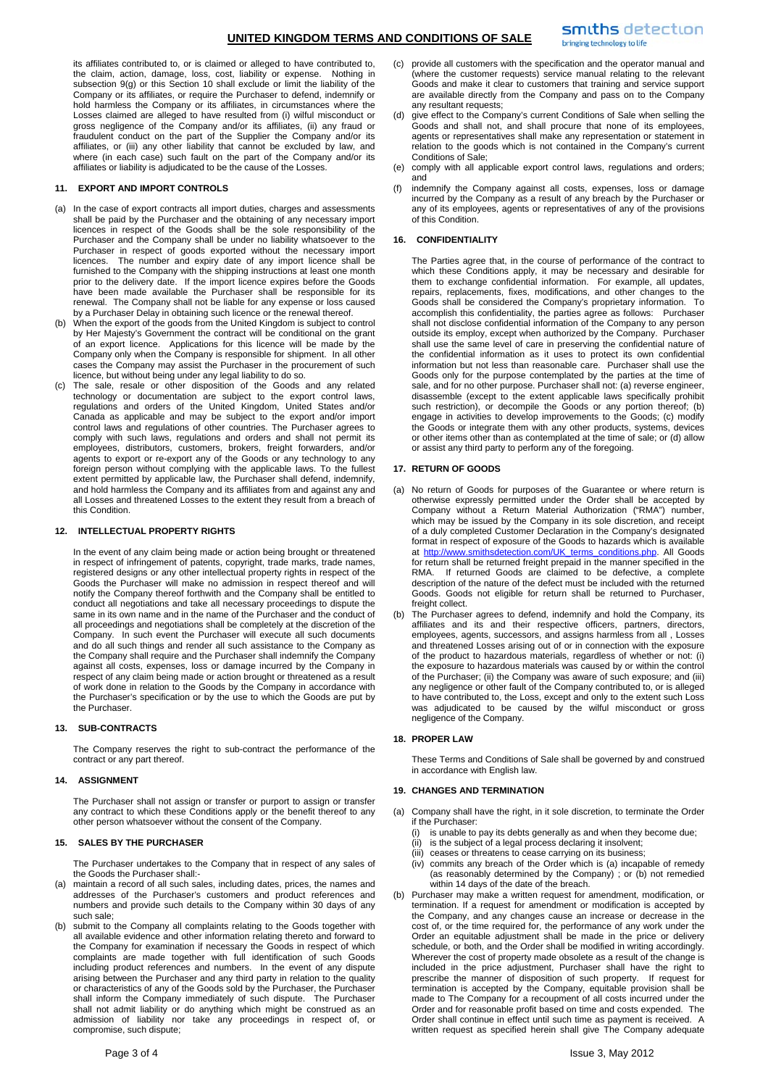its affiliates contributed to, or is claimed or alleged to have contributed to, the claim, action, damage, loss, cost, liability or expense. Nothing in subsection 9(g) or this Section 10 shall exclude or limit the liability of the Company or its affiliates, or require the Purchaser to defend, indemnify or hold harmless the Company or its affiliates, in circumstances where the Losses claimed are alleged to have resulted from (i) wilful misconduct or gross negligence of the Company and/or its affiliates, (ii) any fraud or fraudulent conduct on the part of the Supplier the Company and/or its affiliates, or (iii) any other liability that cannot be excluded by law, and where (in each case) such fault on the part of the Company and/or its affiliates or liability is adjudicated to be the cause of the Losses.

### **11. EXPORT AND IMPORT CONTROLS**

- (a) In the case of export contracts all import duties, charges and assessments shall be paid by the Purchaser and the obtaining of any necessary import licences in respect of the Goods shall be the sole responsibility of the Purchaser and the Company shall be under no liability whatsoever to the Purchaser in respect of goods exported without the necessary import licences. The number and expiry date of any import licence shall be furnished to the Company with the shipping instructions at least one month prior to the delivery date. If the import licence expires before the Goods have been made available the Purchaser shall be responsible for its renewal. The Company shall not be liable for any expense or loss caused by a Purchaser Delay in obtaining such licence or the renewal thereof.
- (b) When the export of the goods from the United Kingdom is subject to control by Her Majesty's Government the contract will be conditional on the grant of an export licence. Applications for this licence will be made by the Company only when the Company is responsible for shipment. In all other cases the Company may assist the Purchaser in the procurement of such licence, but without being under any legal liability to do so.
- The sale, resale or other disposition of the Goods and any related technology or documentation are subject to the export control laws, regulations and orders of the United Kingdom, United States and/or Canada as applicable and may be subject to the export and/or import control laws and regulations of other countries. The Purchaser agrees to comply with such laws, regulations and orders and shall not permit its employees, distributors, customers, brokers, freight forwarders, and/or agents to export or re-export any of the Goods or any technology to any foreign person without complying with the applicable laws. To the fullest extent permitted by applicable law, the Purchaser shall defend, indemnify, and hold harmless the Company and its affiliates from and against any and all Losses and threatened Losses to the extent they result from a breach of this Condition.

#### **12. INTELLECTUAL PROPERTY RIGHTS**

In the event of any claim being made or action being brought or threatened in respect of infringement of patents, copyright, trade marks, trade names, registered designs or any other intellectual property rights in respect of the Goods the Purchaser will make no admission in respect thereof and will notify the Company thereof forthwith and the Company shall be entitled to conduct all negotiations and take all necessary proceedings to dispute the same in its own name and in the name of the Purchaser and the conduct of all proceedings and negotiations shall be completely at the discretion of the Company. In such event the Purchaser will execute all such documents and do all such things and render all such assistance to the Company as the Company shall require and the Purchaser shall indemnify the Company against all costs, expenses, loss or damage incurred by the Company in respect of any claim being made or action brought or threatened as a result of work done in relation to the Goods by the Company in accordance with the Purchaser's specification or by the use to which the Goods are put by the Purchaser.

#### **13. SUB-CONTRACTS**

The Company reserves the right to sub-contract the performance of the contract or any part thereof.

#### **14. ASSIGNMENT**

The Purchaser shall not assign or transfer or purport to assign or transfer any contract to which these Conditions apply or the benefit thereof to any other person whatsoever without the consent of the Company.

### **15. SALES BY THE PURCHASER**

The Purchaser undertakes to the Company that in respect of any sales of the Goods the Purchaser shall:-

- (a) maintain a record of all such sales, including dates, prices, the names and addresses of the Purchaser's customers and product references and numbers and provide such details to the Company within 30 days of any such sale;
- (b) submit to the Company all complaints relating to the Goods together with all available evidence and other information relating thereto and forward to the Company for examination if necessary the Goods in respect of which complaints are made together with full identification of such Goods including product references and numbers. In the event of any dispute arising between the Purchaser and any third party in relation to the quality or characteristics of any of the Goods sold by the Purchaser, the Purchaser shall inform the Company immediately of such dispute. The Purchaser shall not admit liability or do anything which might be construed as an admission of liability nor take any proceedings in respect of, or compromise, such dispute;
- (d) give effect to the Company's current Conditions of Sale when selling the Goods and shall not, and shall procure that none of its employees, agents or representatives shall make any representation or statement in relation to the goods which is not contained in the Company's current
	- Conditions of Sale; (e) comply with all applicable export control laws, regulations and orders; and

(c) provide all customers with the specification and the operator manual and (where the customer requests) service manual relating to the relevant Goods and make it clear to customers that training and service support are available directly from the Company and pass on to the Company

(f) indemnify the Company against all costs, expenses, loss or damage incurred by the Company as a result of any breach by the Purchaser or any of its employees, agents or representatives of any of the provisions of this Condition.

#### **16. CONFIDENTIALITY**

any resultant requests;

The Parties agree that, in the course of performance of the contract to which these Conditions apply, it may be necessary and desirable for them to exchange confidential information. For example, all updates, repairs, replacements, fixes, modifications, and other changes to the Goods shall be considered the Company's proprietary information. To accomplish this confidentiality, the parties agree as follows: Purchaser shall not disclose confidential information of the Company to any person outside its employ, except when authorized by the Company. Purchaser shall use the same level of care in preserving the confidential nature of the confidential information as it uses to protect its own confidential information but not less than reasonable care. Purchaser shall use the Goods only for the purpose contemplated by the parties at the time of sale, and for no other purpose. Purchaser shall not: (a) reverse engineer, disassemble (except to the extent applicable laws specifically prohibit such restriction), or decompile the Goods or any portion thereof; (b) engage in activities to develop improvements to the Goods; (c) modify the Goods or integrate them with any other products, systems, devices or other items other than as contemplated at the time of sale; or (d) allow or assist any third party to perform any of the foregoing.

#### **17. RETURN OF GOODS**

- (a) No return of Goods for purposes of the Guarantee or where return is otherwise expressly permitted under the Order shall be accepted by Company without a Return Material Authorization ("RMA") number, which may be issued by the Company in its sole discretion, and receipt of a duly completed Customer Declaration in the Company's designated format in respect of exposure of the Goods to hazards which is available at http://www.smithsdetection.com/UK\_terms\_conditions.php. All Goods for return shall be returned freight prepaid in the manner specified in the RMA. If returned Goods are claimed to be defective, a complete description of the nature of the defect must be included with the returned Goods. Goods not eligible for return shall be returned to Purchaser, freight collect.
- The Purchaser agrees to defend, indemnify and hold the Company, its affiliates and its and their respective officers, partners, directors, employees, agents, successors, and assigns harmless from all , Losses and threatened Losses arising out of or in connection with the exposure of the product to hazardous materials, regardless of whether or not: (i) the exposure to hazardous materials was caused by or within the control of the Purchaser; (ii) the Company was aware of such exposure; and (iii) any negligence or other fault of the Company contributed to, or is alleged to have contributed to, the Loss, except and only to the extent such Loss was adjudicated to be caused by the wilful misconduct or gross negligence of the Company.

#### **18. PROPER LAW**

These Terms and Conditions of Sale shall be governed by and construed in accordance with English law.

# **19. CHANGES AND TERMINATION**

- (a) Company shall have the right, in it sole discretion, to terminate the Order if the Purchaser:
	- (i) is unable to pay its debts generally as and when they become due;
	- (ii) is the subject of a legal process declaring it insolvent;
	- (iii) ceases or threatens to cease carrying on its business;
	- (iv) commits any breach of the Order which is (a) incapable of remedy (as reasonably determined by the Company) ; or (b) not remedied within 14 days of the date of the breach.
- (b) Purchaser may make a written request for amendment, modification, or termination. If a request for amendment or modification is accepted by the Company, and any changes cause an increase or decrease in the cost of, or the time required for, the performance of any work under the Order an equitable adjustment shall be made in the price or delivery schedule, or both, and the Order shall be modified in writing accordingly. Wherever the cost of property made obsolete as a result of the change is included in the price adjustment, Purchaser shall have the right to prescribe the manner of disposition of such property. If request for termination is accepted by the Company, equitable provision shall be made to The Company for a recoupment of all costs incurred under the Order and for reasonable profit based on time and costs expended. The Order shall continue in effect until such time as payment is received. A written request as specified herein shall give The Company adequate